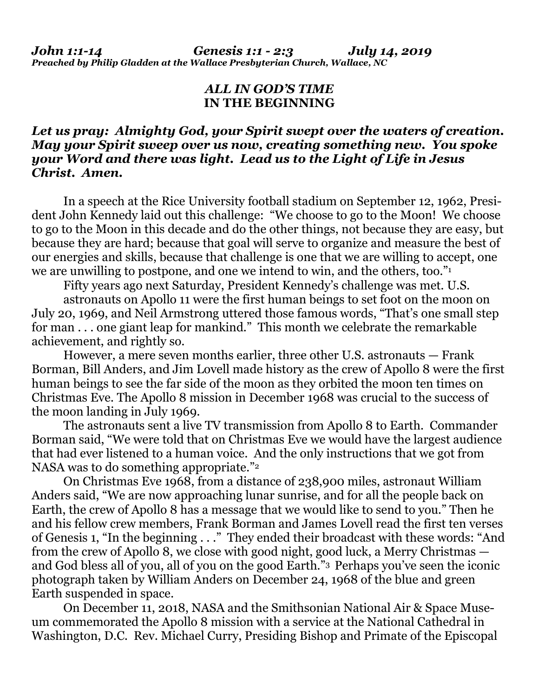## *ALL IN GOD'S TIME* **IN THE BEGINNING**

## *Let us pray: Almighty God, your Spirit swept over the waters of creation. May your Spirit sweep over us now, creating something new. You spoke your Word and there was light. Lead us to the Light of Life in Jesus Christ. Amen.*

In a speech at the Rice University football stadium on September 12, 1962, President John Kennedy laid out this challenge: "We choose to go to the Moon! We choose to go to the Moon in this decade and do the other things, not because they are easy, but because they are hard; because that goal will serve to organize and measure the best of our energies and skills, because that challenge is one that we are willing to accept, one we are unwilling to postpone, and one we intend to win, and the others, too."<sup>1</sup>

Fifty years ago next Saturday, President Kennedy's challenge was met. U.S.

astronauts on Apollo 11 were the first human beings to set foot on the moon on July 20, 1969, and Neil Armstrong uttered those famous words, "That's one small step for man . . . one giant leap for mankind." This month we celebrate the remarkable achievement, and rightly so.

However, a mere seven months earlier, three other U.S. astronauts — Frank Borman, Bill Anders, and Jim Lovell made history as the crew of Apollo 8 were the first human beings to see the far side of the moon as they orbited the moon ten times on Christmas Eve. The Apollo 8 mission in December 1968 was crucial to the success of the moon landing in July 1969.

The astronauts sent a live TV transmission from Apollo 8 to Earth. Commander Borman said, "We were told that on Christmas Eve we would have the largest audience that had ever listened to a human voice. And the only instructions that we got from NASA was to do something appropriate."<sup>2</sup>

On Christmas Eve 1968, from a distance of 238,900 miles, astronaut William Anders said, "We are now approaching lunar sunrise, and for all the people back on Earth, the crew of Apollo 8 has a message that we would like to send to you." Then he and his fellow crew members, Frank Borman and James Lovell read the first ten verses of Genesis 1, "In the beginning . . ." They ended their broadcast with these words: "And from the crew of Apollo 8, we close with good night, good luck, a Merry Christmas and God bless all of you, all of you on the good Earth."<sup>3</sup> Perhaps you've seen the iconic photograph taken by William Anders on December 24, 1968 of the blue and green Earth suspended in space.

On December 11, 2018, NASA and the Smithsonian National Air & Space Museum commemorated the Apollo 8 mission with a service at the National Cathedral in Washington, D.C. Rev. Michael Curry, Presiding Bishop and Primate of the Episcopal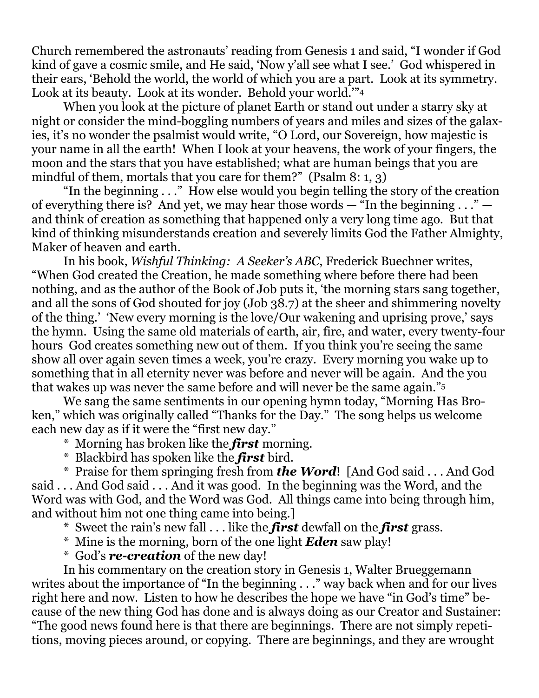Church remembered the astronauts' reading from Genesis 1 and said, "I wonder if God kind of gave a cosmic smile, and He said, 'Now y'all see what I see.' God whispered in their ears, 'Behold the world, the world of which you are a part. Look at its symmetry. Look at its beauty. Look at its wonder. Behold your world.'"<sup>4</sup>

When you look at the picture of planet Earth or stand out under a starry sky at night or consider the mind-boggling numbers of years and miles and sizes of the galaxies, it's no wonder the psalmist would write, "O Lord, our Sovereign, how majestic is your name in all the earth! When I look at your heavens, the work of your fingers, the moon and the stars that you have established; what are human beings that you are mindful of them, mortals that you care for them?" (Psalm 8: 1, 3)

"In the beginning . . ." How else would you begin telling the story of the creation of everything there is? And yet, we may hear those words  $-$  "In the beginning . . ." and think of creation as something that happened only a very long time ago. But that kind of thinking misunderstands creation and severely limits God the Father Almighty, Maker of heaven and earth.

In his book, *Wishful Thinking: A Seeker's ABC*, Frederick Buechner writes, "When God created the Creation, he made something where before there had been nothing, and as the author of the Book of Job puts it, 'the morning stars sang together, and all the sons of God shouted for joy (Job 38.7) at the sheer and shimmering novelty of the thing.' 'New every morning is the love/Our wakening and uprising prove,' says the hymn. Using the same old materials of earth, air, fire, and water, every twenty-four hours God creates something new out of them. If you think you're seeing the same show all over again seven times a week, you're crazy. Every morning you wake up to something that in all eternity never was before and never will be again. And the you that wakes up was never the same before and will never be the same again."<sup>5</sup>

We sang the same sentiments in our opening hymn today, "Morning Has Broken," which was originally called "Thanks for the Day." The song helps us welcome each new day as if it were the "first new day."

- \* Morning has broken like the *first* morning.
- \* Blackbird has spoken like the *first* bird.

\* Praise for them springing fresh from *the Word*! [And God said . . . And God said . . . And God said . . . And it was good. In the beginning was the Word, and the Word was with God, and the Word was God. All things came into being through him, and without him not one thing came into being.]

- \* Sweet the rain's new fall . . . like the *first* dewfall on the *first* grass.
- \* Mine is the morning, born of the one light *Eden* saw play!
- \* God's *re-creation* of the new day!

In his commentary on the creation story in Genesis 1, Walter Brueggemann writes about the importance of "In the beginning . . ." way back when and for our lives right here and now. Listen to how he describes the hope we have "in God's time" because of the new thing God has done and is always doing as our Creator and Sustainer: "The good news found here is that there are beginnings. There are not simply repetitions, moving pieces around, or copying. There are beginnings, and they are wrought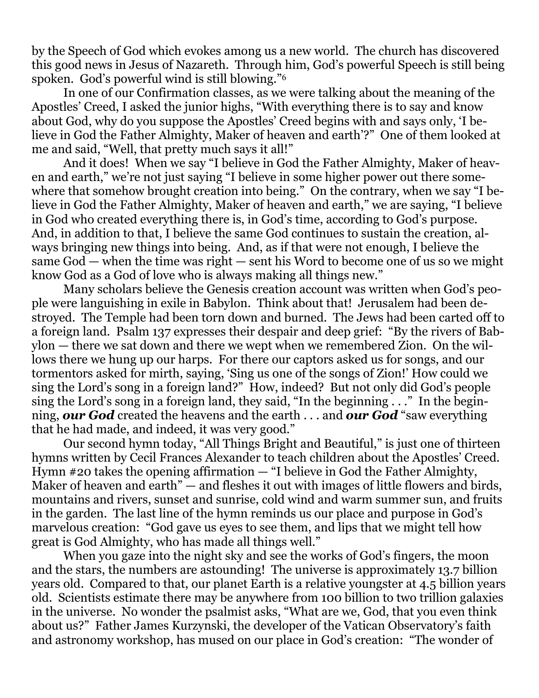by the Speech of God which evokes among us a new world. The church has discovered this good news in Jesus of Nazareth. Through him, God's powerful Speech is still being spoken. God's powerful wind is still blowing."<sup>6</sup>

In one of our Confirmation classes, as we were talking about the meaning of the Apostles' Creed, I asked the junior highs, "With everything there is to say and know about God, why do you suppose the Apostles' Creed begins with and says only, 'I believe in God the Father Almighty, Maker of heaven and earth'?" One of them looked at me and said, "Well, that pretty much says it all!"

And it does! When we say "I believe in God the Father Almighty, Maker of heaven and earth," we're not just saying "I believe in some higher power out there somewhere that somehow brought creation into being." On the contrary, when we say "I believe in God the Father Almighty, Maker of heaven and earth," we are saying, "I believe in God who created everything there is, in God's time, according to God's purpose. And, in addition to that, I believe the same God continues to sustain the creation, always bringing new things into being. And, as if that were not enough, I believe the same God — when the time was right — sent his Word to become one of us so we might know God as a God of love who is always making all things new."

Many scholars believe the Genesis creation account was written when God's people were languishing in exile in Babylon. Think about that! Jerusalem had been destroyed. The Temple had been torn down and burned. The Jews had been carted off to a foreign land. Psalm 137 expresses their despair and deep grief: "By the rivers of Babylon — there we sat down and there we wept when we remembered Zion. On the willows there we hung up our harps. For there our captors asked us for songs, and our tormentors asked for mirth, saying, 'Sing us one of the songs of Zion!' How could we sing the Lord's song in a foreign land?" How, indeed? But not only did God's people sing the Lord's song in a foreign land, they said, "In the beginning . . ." In the beginning, *our God* created the heavens and the earth . . . and *our God* "saw everything that he had made, and indeed, it was very good."

Our second hymn today, "All Things Bright and Beautiful," is just one of thirteen hymns written by Cecil Frances Alexander to teach children about the Apostles' Creed. Hymn #20 takes the opening affirmation — "I believe in God the Father Almighty, Maker of heaven and earth" — and fleshes it out with images of little flowers and birds, mountains and rivers, sunset and sunrise, cold wind and warm summer sun, and fruits in the garden. The last line of the hymn reminds us our place and purpose in God's marvelous creation: "God gave us eyes to see them, and lips that we might tell how great is God Almighty, who has made all things well."

When you gaze into the night sky and see the works of God's fingers, the moon and the stars, the numbers are astounding! The universe is approximately 13.7 billion years old. Compared to that, our planet Earth is a relative youngster at 4.5 billion years old. Scientists estimate there may be anywhere from 100 billion to two trillion galaxies in the universe. No wonder the psalmist asks, "What are we, God, that you even think about us?" Father James Kurzynski, the developer of the Vatican Observatory's faith and astronomy workshop, has mused on our place in God's creation: "The wonder of